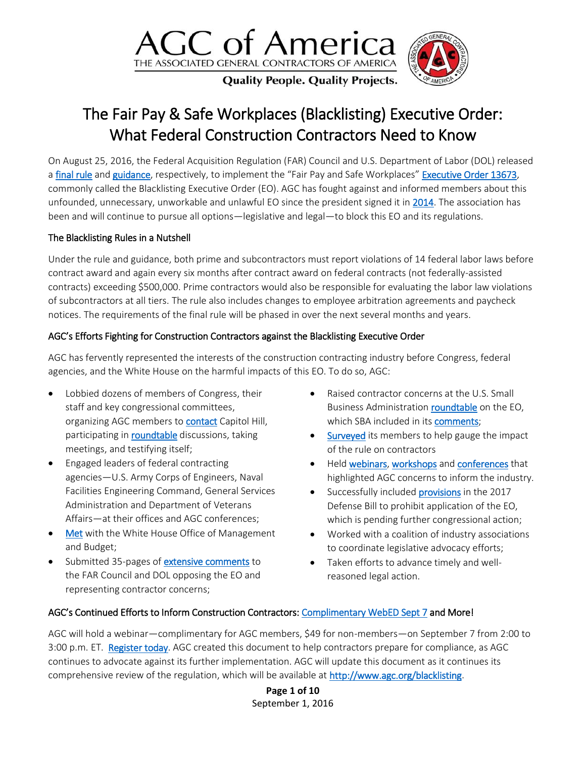

**Quality People. Quality Projects.** 

## The Fair Pay & Safe Workplaces (Blacklisting) Executive Order: What Federal Construction Contractors Need to Know

On August 25, 2016, the Federal Acquisition Regulation (FAR) Council and U.S. Department of Labor (DOL) released a [final](https://www.gpo.gov/fdsys/pkg/FR-2016-08-25/pdf/2016-19676.pdf) rule and [guidance](https://www.gpo.gov/fdsys/pkg/FR-2016-08-25/pdf/2016-19678.pdf), respectively, to implement the "Fair Pay and Safe Workplaces" [Executive Order 13673,](https://www.whitehouse.gov/the-press-office/2014/07/31/executive-order-fair-pay-and-safe-workplaces) commonly called the Blacklisting Executive Order (EO). AGC has fought against and informed members about this unfounded, unnecessary, unworkable and unlawful EO since the president signed it in [2014.](https://www.agc.org/news/2014/08/11/new-executive-order-requires-federal-contractors-disclose-labor-law-violations-give) The association has been and will continue to pursue all options—legislative and legal—to block this EO and its regulations.

#### The Blacklisting Rules in a Nutshell

Under the rule and guidance, both prime and subcontractors must report violations of 14 federal labor laws before contract award and again every six months after contract award on federal contracts (not federally-assisted contracts) exceeding \$500,000. Prime contractors would also be responsible for evaluating the labor law violations of subcontractors at all tiers. The rule also includes changes to employee arbitration agreements and paycheck notices. The requirements of the final rule will be phased in over the next several months and years.

#### AGC's Efforts Fighting for Construction Contractors against the Blacklisting Executive Order

AGC has fervently represented the interests of the construction contracting industry before Congress, federal agencies, and the White House on the harmful impacts of this EO. To do so, AGC:

- Lobbied dozens of members of Congress, their staff and key congressional committees, organizing AGC members to **contact** Capitol Hill, participating in **roundtable** discussions, taking meetings, and testifying itself;
- Engaged leaders of federal contracting agencies—U.S. Army Corps of Engineers, Naval Facilities Engineering Command, General Services Administration and Department of Veterans Affairs—at their offices and AGC conferences;
- [Met](http://www.reginfo.gov/public/do/viewEO12866Meeting?viewRule=false&rin=9000-AM81&meetingId=2047&acronym=9000-FAR) with the White House Office of Management and Budget;
- Submitted 35-pages of [extensive comments](https://www.agc.org/news/2015/08/28/agc-submits-comments-opposing-blacklisting-executive-order) to the FAR Council and DOL opposing the EO and representing contractor concerns;
- Raised contractor concerns at the U.S. Small Business Administration **roundtable** on the EO, which SBA included in its [comments;](https://www.sba.gov/advocacy/82615-gsa-proposed-regulation-implement-executive-order-13673-fair-pay-and-safe-workplaces)
- [Surveyed](https://www.agc.org/news/2015/07/02/how-would-blacklisting-executive-order-impact-your-company) its members to help gauge the impact of the rule on contractors
- Held [webinars,](https://www.agc.org/news/2015/05/28/complimentary-webinar-surviving-federal-construction-regulatory-onslaught) [workshops](http://www.smithcurrie.com/resources-events-323.html) and [conferences](http://meetings.agc.org/fedcon/) that highlighted AGC concerns to inform the industry.
- Successfully included **provisions** in the 2017 Defense Bill to prohibit application of the EO, which is pending further congressional action;
- Worked with a coalition of industry associations to coordinate legislative advocacy efforts;
- Taken efforts to advance timely and wellreasoned legal action.

#### AGC's Continued Efforts to Inform Construction Contractors: [Complimentary WebED](https://www.agc.org/learn/education-training/events/webedthe-fair-pay-safe-workplaces-blacklisting-executive-order-what) Sept 7 and More!

AGC will hold a webinar—complimentary for AGC members, \$49 for non-members—on September 7 from 2:00 to 3:00 p.m. ET. [Register today.](https://www.agc.org/learn/education-training/events/webedthe-fair-pay-safe-workplaces-blacklisting-executive-order-what) AGC created this document to help contractors prepare for compliance, as AGC continues to advocate against its further implementation. AGC will update this document as it continues its comprehensive review of the regulation, which will be available at [http://www.agc.org/blacklisting.](http://www.agc.org/blacklisting)

> **Page 1 of 10** September 1, 2016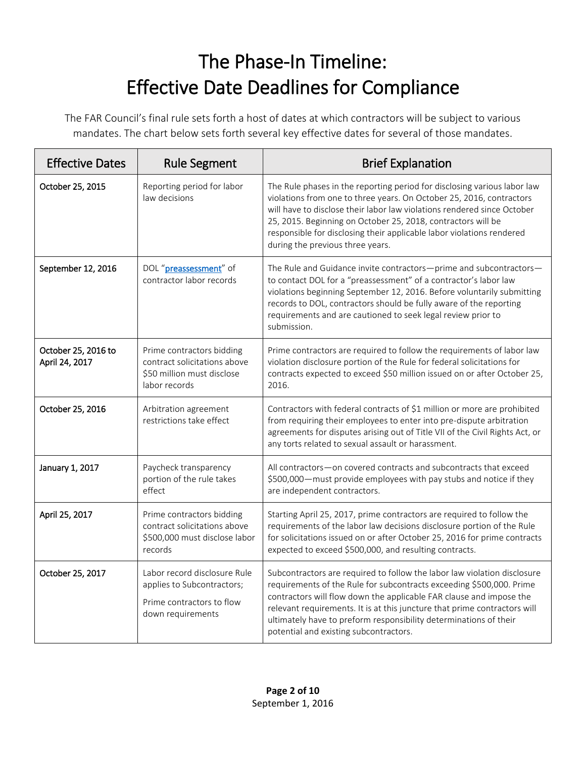# The Phase-In Timeline: Effective Date Deadlines for Compliance

The FAR Council's final rule sets forth a host of dates at which contractors will be subject to various mandates. The chart below sets forth several key effective dates for several of those mandates.

| <b>Effective Dates</b>                | <b>Rule Segment</b>                                                                                          | <b>Brief Explanation</b>                                                                                                                                                                                                                                                                                                                                                                                            |
|---------------------------------------|--------------------------------------------------------------------------------------------------------------|---------------------------------------------------------------------------------------------------------------------------------------------------------------------------------------------------------------------------------------------------------------------------------------------------------------------------------------------------------------------------------------------------------------------|
| October 25, 2015                      | Reporting period for labor<br>law decisions                                                                  | The Rule phases in the reporting period for disclosing various labor law<br>violations from one to three years. On October 25, 2016, contractors<br>will have to disclose their labor law violations rendered since October<br>25, 2015. Beginning on October 25, 2018, contractors will be<br>responsible for disclosing their applicable labor violations rendered<br>during the previous three years.            |
| September 12, 2016                    | DOL "preassessment" of<br>contractor labor records                                                           | The Rule and Guidance invite contractors-prime and subcontractors-<br>to contact DOL for a "preassessment" of a contractor's labor law<br>violations beginning September 12, 2016. Before voluntarily submitting<br>records to DOL, contractors should be fully aware of the reporting<br>requirements and are cautioned to seek legal review prior to<br>submission.                                               |
| October 25, 2016 to<br>April 24, 2017 | Prime contractors bidding<br>contract solicitations above<br>\$50 million must disclose<br>labor records     | Prime contractors are required to follow the requirements of labor law<br>violation disclosure portion of the Rule for federal solicitations for<br>contracts expected to exceed \$50 million issued on or after October 25,<br>2016.                                                                                                                                                                               |
| October 25, 2016                      | Arbitration agreement<br>restrictions take effect                                                            | Contractors with federal contracts of \$1 million or more are prohibited<br>from requiring their employees to enter into pre-dispute arbitration<br>agreements for disputes arising out of Title VII of the Civil Rights Act, or<br>any torts related to sexual assault or harassment.                                                                                                                              |
| January 1, 2017                       | Paycheck transparency<br>portion of the rule takes<br>effect                                                 | All contractors-on covered contracts and subcontracts that exceed<br>\$500,000 - must provide employees with pay stubs and notice if they<br>are independent contractors.                                                                                                                                                                                                                                           |
| April 25, 2017                        | Prime contractors bidding<br>contract solicitations above<br>\$500,000 must disclose labor<br>records        | Starting April 25, 2017, prime contractors are required to follow the<br>requirements of the labor law decisions disclosure portion of the Rule<br>for solicitations issued on or after October 25, 2016 for prime contracts<br>expected to exceed \$500,000, and resulting contracts.                                                                                                                              |
| October 25, 2017                      | Labor record disclosure Rule<br>applies to Subcontractors;<br>Prime contractors to flow<br>down requirements | Subcontractors are required to follow the labor law violation disclosure<br>requirements of the Rule for subcontracts exceeding \$500,000. Prime<br>contractors will flow down the applicable FAR clause and impose the<br>relevant requirements. It is at this juncture that prime contractors will<br>ultimately have to preform responsibility determinations of their<br>potential and existing subcontractors. |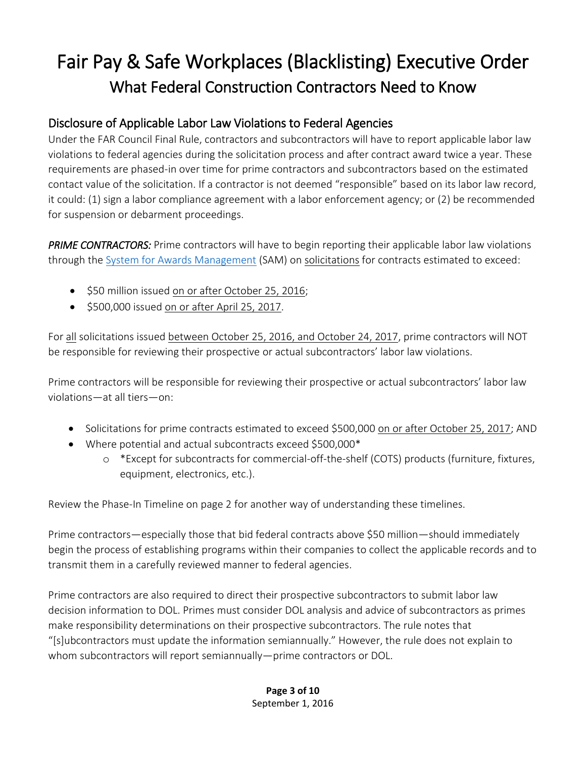## Fair Pay & Safe Workplaces (Blacklisting) Executive Order What Federal Construction Contractors Need to Know

#### Disclosure of Applicable Labor Law Violations to Federal Agencies

Under the FAR Council Final Rule, contractors and subcontractors will have to report applicable labor law violations to federal agencies during the solicitation process and after contract award twice a year. These requirements are phased-in over time for prime contractors and subcontractors based on the estimated contact value of the solicitation. If a contractor is not deemed "responsible" based on its labor law record, it could: (1) sign a labor compliance agreement with a labor enforcement agency; or (2) be recommended for suspension or debarment proceedings.

*PRIME CONTRACTORS:* Prime contractors will have to begin reporting their applicable labor law violations through the System for [Awards Management](https://www.sam.gov/portal/SAM/) (SAM) on solicitations for contracts estimated to exceed:

- $\bullet$  \$50 million issued on or after October 25, 2016;
- $\bullet$  \$500,000 issued on or after April 25, 2017.

For all solicitations issued between October 25, 2016, and October 24, 2017, prime contractors will NOT be responsible for reviewing their prospective or actual subcontractors' labor law violations.

Prime contractors will be responsible for reviewing their prospective or actual subcontractors' labor law violations—at all tiers—on:

- Solicitations for prime contracts estimated to exceed \$500,000 on or after October 25, 2017; AND
- Where potential and actual subcontracts exceed \$500,000\*
	- o \*Except for subcontracts for commercial-off-the-shelf (COTS) products (furniture, fixtures, equipment, electronics, etc.).

Review the Phase-In Timeline on page 2 for another way of understanding these timelines.

Prime contractors—especially those that bid federal contracts above \$50 million—should immediately begin the process of establishing programs within their companies to collect the applicable records and to transmit them in a carefully reviewed manner to federal agencies.

Prime contractors are also required to direct their prospective subcontractors to submit labor law decision information to DOL. Primes must consider DOL analysis and advice of subcontractors as primes make responsibility determinations on their prospective subcontractors. The rule notes that "[s]ubcontractors must update the information semiannually." However, the rule does not explain to whom subcontractors will report semiannually—prime contractors or DOL.

#### **Page 3 of 10** September 1, 2016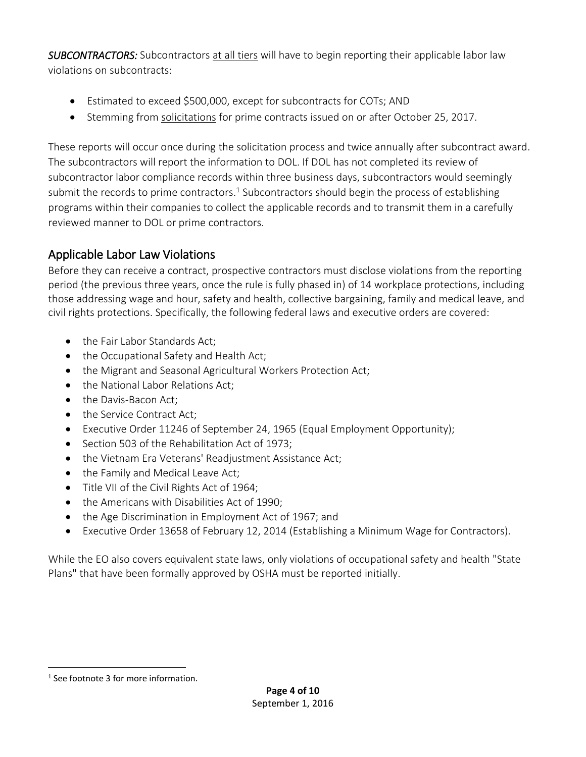*SUBCONTRACTORS:* Subcontractors at all tiers will have to begin reporting their applicable labor law violations on subcontracts:

- Estimated to exceed \$500,000, except for subcontracts for COTs; AND
- Stemming from solicitations for prime contracts issued on or after October 25, 2017.

These reports will occur once during the solicitation process and twice annually after subcontract award. The subcontractors will report the information to DOL. If DOL has not completed its review of subcontractor labor compliance records within three business days, subcontractors would seemingly submit the records to prime contractors.<sup>1</sup> Subcontractors should begin the process of establishing programs within their companies to collect the applicable records and to transmit them in a carefully reviewed manner to DOL or prime contractors.

## Applicable Labor Law Violations

Before they can receive a contract, prospective contractors must disclose violations from the reporting period (the previous three years, once the rule is fully phased in) of 14 workplace protections, including those addressing wage and hour, safety and health, collective bargaining, family and medical leave, and civil rights protections. Specifically, the following federal laws and executive orders are covered:

- the Fair Labor Standards Act;
- the Occupational Safety and Health Act;
- the Migrant and Seasonal Agricultural Workers Protection Act;
- the National Labor Relations Act;
- the Davis-Bacon Act;
- the Service Contract Act;
- Executive Order 11246 of September 24, 1965 (Equal Employment Opportunity);
- Section 503 of the Rehabilitation Act of 1973;
- the Vietnam Era Veterans' Readjustment Assistance Act;
- the Family and Medical Leave Act;
- Title VII of the Civil Rights Act of 1964;
- the Americans with Disabilities Act of 1990;
- the Age Discrimination in Employment Act of 1967; and
- Executive Order 13658 of February 12, 2014 (Establishing a Minimum Wage for Contractors).

While the EO also covers equivalent state laws, only violations of occupational safety and health "State Plans" that have been formally approved by OSHA must be reported initially.

 $\overline{a}$ 

<sup>&</sup>lt;sup>1</sup> See footnote 3 for more information.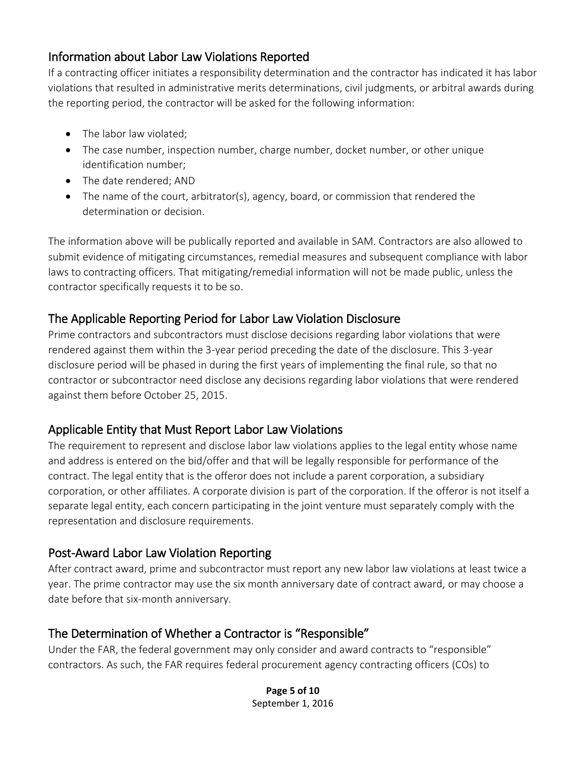#### Information about Labor Law Violations Reported

If a contracting officer initiates a responsibility determination and the contractor has indicated it has labor violations that resulted in administrative merits determinations, civil judgments, or arbitral awards during the reporting period, the contractor will be asked for the following information:

- The labor law violated:
- The case number, inspection number, charge number, docket number, or other unique identification number;
- The date rendered; AND
- The name of the court, arbitrator(s), agency, board, or commission that rendered the determination or decision.

The information above will be publically reported and available in SAM. Contractors are also allowed to submit evidence of mitigating circumstances, remedial measures and subsequent compliance with labor laws to contracting officers. That mitigating/remedial information will not be made public, unless the contractor specifically requests it to be so.

## The Applicable Reporting Period for Labor Law Violation Disclosure

Prime contractors and subcontractors must disclose decisions regarding labor violations that were rendered against them within the 3-year period preceding the date of the disclosure. This 3-year disclosure period will be phased in during the first years of implementing the final rule, so that no contractor or subcontractor need disclose any decisions regarding labor violations that were rendered against them before October 25, 2015.

## Applicable Entity that Must Report Labor Law Violations

The requirement to represent and disclose labor law violations applies to the legal entity whose name and address is entered on the bid/offer and that will be legally responsible for performance of the contract. The legal entity that is the offeror does not include a parent corporation, a subsidiary corporation, or other affiliates. A corporate division is part of the corporation. If the offeror is not itself a separate legal entity, each concern participating in the joint venture must separately comply with the representation and disclosure requirements.

## Post-Award Labor Law Violation Reporting

After contract award, prime and subcontractor must report any new labor law violations at least twice a year. The prime contractor may use the six month anniversary date of contract award, or may choose a date before that six-month anniversary.

## The Determination of Whether a Contractor is "Responsible"

Under the FAR, the federal government may only consider and award contracts to "responsible" contractors. As such, the FAR requires federal procurement agency contracting officers (COs) to

> **Page 5 of 10** September 1, 2016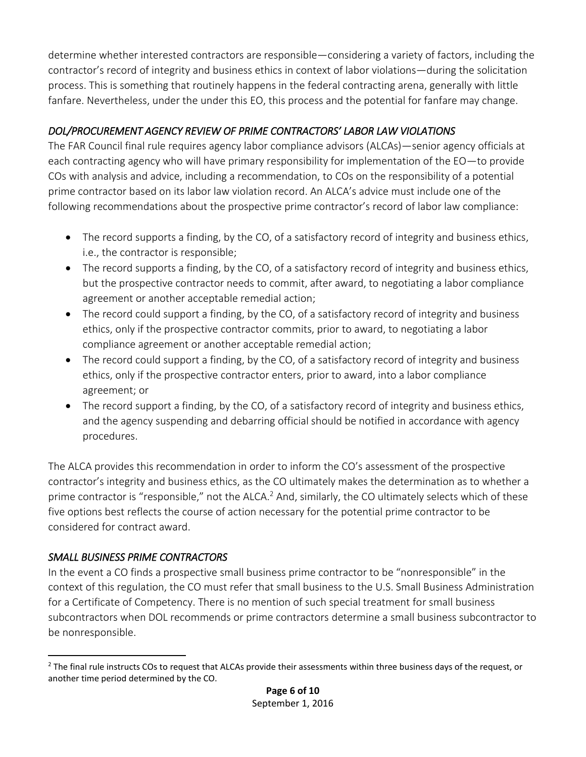determine whether interested contractors are responsible—considering a variety of factors, including the contractor's record of integrity and business ethics in context of labor violations—during the solicitation process. This is something that routinely happens in the federal contracting arena, generally with little fanfare. Nevertheless, under the under this EO, this process and the potential for fanfare may change.

#### *DOL/PROCUREMENT AGENCY REVIEW OF PRIME CONTRACTORS' LABOR LAW VIOLATIONS*

The FAR Council final rule requires agency labor compliance advisors (ALCAs)—senior agency officials at each contracting agency who will have primary responsibility for implementation of the EO—to provide COs with analysis and advice, including a recommendation, to COs on the responsibility of a potential prime contractor based on its labor law violation record. An ALCA's advice must include one of the following recommendations about the prospective prime contractor's record of labor law compliance:

- The record supports a finding, by the CO, of a satisfactory record of integrity and business ethics, i.e., the contractor is responsible;
- The record supports a finding, by the CO, of a satisfactory record of integrity and business ethics, but the prospective contractor needs to commit, after award, to negotiating a labor compliance agreement or another acceptable remedial action;
- The record could support a finding, by the CO, of a satisfactory record of integrity and business ethics, only if the prospective contractor commits, prior to award, to negotiating a labor compliance agreement or another acceptable remedial action;
- The record could support a finding, by the CO, of a satisfactory record of integrity and business ethics, only if the prospective contractor enters, prior to award, into a labor compliance agreement; or
- The record support a finding, by the CO, of a satisfactory record of integrity and business ethics, and the agency suspending and debarring official should be notified in accordance with agency procedures.

The ALCA provides this recommendation in order to inform the CO's assessment of the prospective contractor's integrity and business ethics, as the CO ultimately makes the determination as to whether a prime contractor is "responsible," not the  $ALCA<sup>2</sup>$  And, similarly, the CO ultimately selects which of these five options best reflects the course of action necessary for the potential prime contractor to be considered for contract award.

#### *SMALL BUSINESS PRIME CONTRACTORS*

 $\overline{a}$ 

In the event a CO finds a prospective small business prime contractor to be "nonresponsible" in the context of this regulation, the CO must refer that small business to the U.S. Small Business Administration for a Certificate of Competency. There is no mention of such special treatment for small business subcontractors when DOL recommends or prime contractors determine a small business subcontractor to be nonresponsible.

<sup>&</sup>lt;sup>2</sup> The final rule instructs COs to request that ALCAs provide their assessments within three business days of the request, or another time period determined by the CO.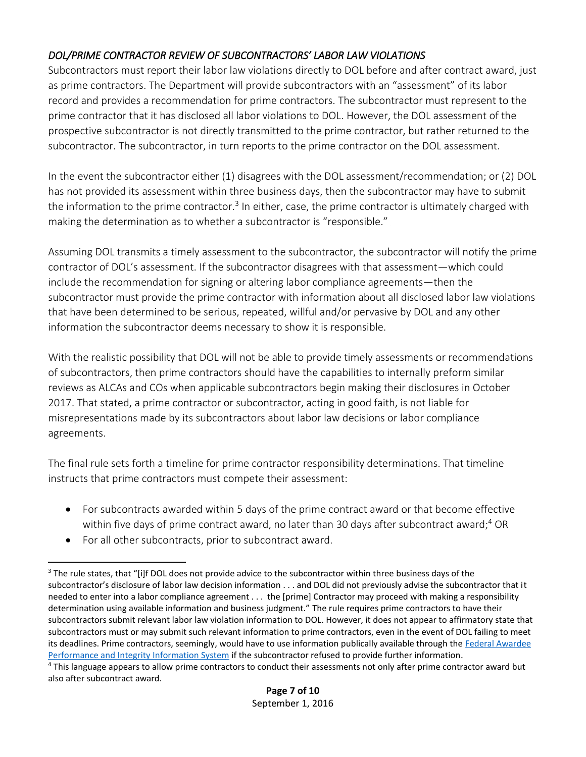#### *DOL/PRIME CONTRACTOR REVIEW OF SUBCONTRACTORS' LABOR LAW VIOLATIONS*

Subcontractors must report their labor law violations directly to DOL before and after contract award, just as prime contractors. The Department will provide subcontractors with an "assessment" of its labor record and provides a recommendation for prime contractors. The subcontractor must represent to the prime contractor that it has disclosed all labor violations to DOL. However, the DOL assessment of the prospective subcontractor is not directly transmitted to the prime contractor, but rather returned to the subcontractor. The subcontractor, in turn reports to the prime contractor on the DOL assessment.

In the event the subcontractor either (1) disagrees with the DOL assessment/recommendation; or (2) DOL has not provided its assessment within three business days, then the subcontractor may have to submit the information to the prime contractor.<sup>3</sup> In either, case, the prime contractor is ultimately charged with making the determination as to whether a subcontractor is "responsible."

Assuming DOL transmits a timely assessment to the subcontractor, the subcontractor will notify the prime contractor of DOL's assessment. If the subcontractor disagrees with that assessment—which could include the recommendation for signing or altering labor compliance agreements—then the subcontractor must provide the prime contractor with information about all disclosed labor law violations that have been determined to be serious, repeated, willful and/or pervasive by DOL and any other information the subcontractor deems necessary to show it is responsible.

With the realistic possibility that DOL will not be able to provide timely assessments or recommendations of subcontractors, then prime contractors should have the capabilities to internally preform similar reviews as ALCAs and COs when applicable subcontractors begin making their disclosures in October 2017. That stated, a prime contractor or subcontractor, acting in good faith, is not liable for misrepresentations made by its subcontractors about labor law decisions or labor compliance agreements.

The final rule sets forth a timeline for prime contractor responsibility determinations. That timeline instructs that prime contractors must compete their assessment:

- For subcontracts awarded within 5 days of the prime contract award or that become effective within five days of prime contract award, no later than 30 days after subcontract award;<sup>4</sup> OR
- For all other subcontracts, prior to subcontract award.

 $\overline{a}$ <sup>3</sup> The rule states, that "[i]f DOL does not provide advice to the subcontractor within three business days of the subcontractor's disclosure of labor law decision information . . . and DOL did not previously advise the subcontractor that it needed to enter into a labor compliance agreement . . . the [prime] Contractor may proceed with making a responsibility determination using available information and business judgment." The rule requires prime contractors to have their subcontractors submit relevant labor law violation information to DOL. However, it does not appear to affirmatory state that subcontractors must or may submit such relevant information to prime contractors, even in the event of DOL failing to meet its deadlines. Prime contractors, seemingly, would have to use information publically available through the [Federal Awardee](https://www.fapiis.gov/fapiis/index.action)  [Performance and Integrity Information System](https://www.fapiis.gov/fapiis/index.action) if the subcontractor refused to provide further information.

<sup>4</sup> This language appears to allow prime contractors to conduct their assessments not only after prime contractor award but also after subcontract award.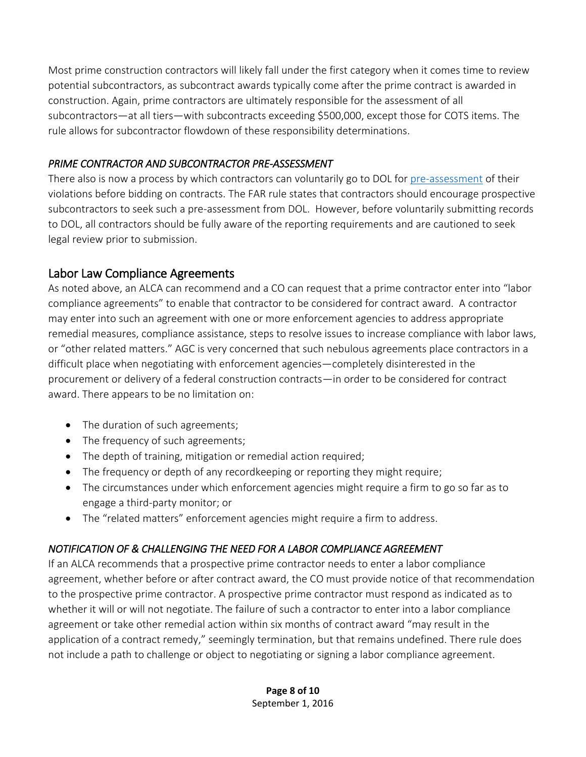Most prime construction contractors will likely fall under the first category when it comes time to review potential subcontractors, as subcontract awards typically come after the prime contract is awarded in construction. Again, prime contractors are ultimately responsible for the assessment of all subcontractors—at all tiers—with subcontracts exceeding \$500,000, except those for COTS items. The rule allows for subcontractor flowdown of these responsibility determinations.

#### *PRIME CONTRACTOR AND SUBCONTRACTOR PRE-ASSESSMENT*

There also is now a process by which contractors can voluntarily go to DOL for [pre-assessment](https://www.dol.gov/asp/fairpayandsafeworkplaces/PreAssessment.htm) of their violations before bidding on contracts. The FAR rule states that contractors should encourage prospective subcontractors to seek such a pre-assessment from DOL. However, before voluntarily submitting records to DOL, all contractors should be fully aware of the reporting requirements and are cautioned to seek legal review prior to submission.

#### Labor Law Compliance Agreements

As noted above, an ALCA can recommend and a CO can request that a prime contractor enter into "labor compliance agreements" to enable that contractor to be considered for contract award. A contractor may enter into such an agreement with one or more enforcement agencies to address appropriate remedial measures, compliance assistance, steps to resolve issues to increase compliance with labor laws, or "other related matters." AGC is very concerned that such nebulous agreements place contractors in a difficult place when negotiating with enforcement agencies—completely disinterested in the procurement or delivery of a federal construction contracts—in order to be considered for contract award. There appears to be no limitation on:

- The duration of such agreements;
- The frequency of such agreements;
- The depth of training, mitigation or remedial action required;
- The frequency or depth of any recordkeeping or reporting they might require;
- The circumstances under which enforcement agencies might require a firm to go so far as to engage a third-party monitor; or
- The "related matters" enforcement agencies might require a firm to address.

#### *NOTIFICATION OF & CHALLENGING THE NEED FOR A LABOR COMPLIANCE AGREEMENT*

If an ALCA recommends that a prospective prime contractor needs to enter a labor compliance agreement, whether before or after contract award, the CO must provide notice of that recommendation to the prospective prime contractor. A prospective prime contractor must respond as indicated as to whether it will or will not negotiate. The failure of such a contractor to enter into a labor compliance agreement or take other remedial action within six months of contract award "may result in the application of a contract remedy," seemingly termination, but that remains undefined. There rule does not include a path to challenge or object to negotiating or signing a labor compliance agreement.

> **Page 8 of 10** September 1, 2016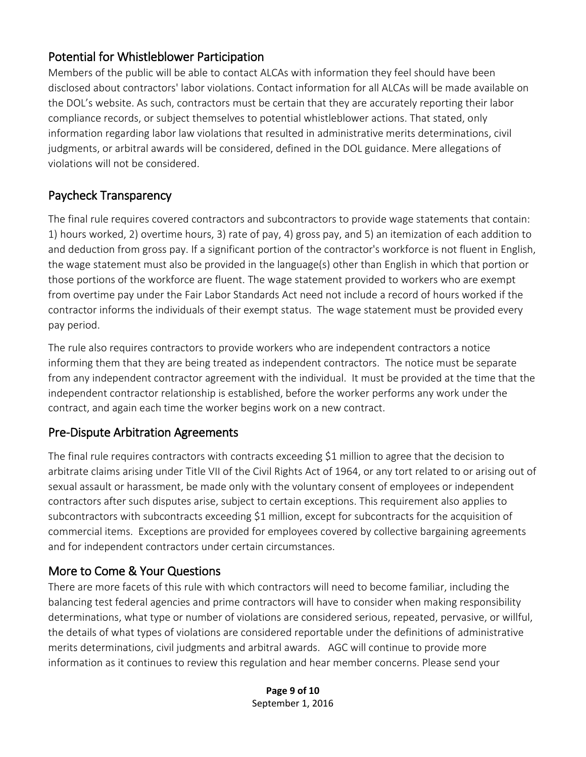#### Potential for Whistleblower Participation

Members of the public will be able to contact ALCAs with information they feel should have been disclosed about contractors' labor violations. Contact information for all ALCAs will be made available on the DOL's website. As such, contractors must be certain that they are accurately reporting their labor compliance records, or subject themselves to potential whistleblower actions. That stated, only information regarding labor law violations that resulted in administrative merits determinations, civil judgments, or arbitral awards will be considered, defined in the DOL guidance. Mere allegations of violations will not be considered.

#### Paycheck Transparency

The final rule requires covered contractors and subcontractors to provide wage statements that contain: 1) hours worked, 2) overtime hours, 3) rate of pay, 4) gross pay, and 5) an itemization of each addition to and deduction from gross pay. If a significant portion of the contractor's workforce is not fluent in English, the wage statement must also be provided in the language(s) other than English in which that portion or those portions of the workforce are fluent. The wage statement provided to workers who are exempt from overtime pay under the Fair Labor Standards Act need not include a record of hours worked if the contractor informs the individuals of their exempt status. The wage statement must be provided every pay period.

The rule also requires contractors to provide workers who are independent contractors a notice informing them that they are being treated as independent contractors. The notice must be separate from any independent contractor agreement with the individual. It must be provided at the time that the independent contractor relationship is established, before the worker performs any work under the contract, and again each time the worker begins work on a new contract.

#### Pre-Dispute Arbitration Agreements

The final rule requires contractors with contracts exceeding \$1 million to agree that the decision to arbitrate claims arising under Title VII of the Civil Rights Act of 1964, or any tort related to or arising out of sexual assault or harassment, be made only with the voluntary consent of employees or independent contractors after such disputes arise, subject to certain exceptions. This requirement also applies to subcontractors with subcontracts exceeding \$1 million, except for subcontracts for the acquisition of commercial items. Exceptions are provided for employees covered by collective bargaining agreements and for independent contractors under certain circumstances.

#### More to Come & Your Questions

There are more facets of this rule with which contractors will need to become familiar, including the balancing test federal agencies and prime contractors will have to consider when making responsibility determinations, what type or number of violations are considered serious, repeated, pervasive, or willful, the details of what types of violations are considered reportable under the definitions of administrative merits determinations, civil judgments and arbitral awards. AGC will continue to provide more information as it continues to review this regulation and hear member concerns. Please send your

> **Page 9 of 10** September 1, 2016